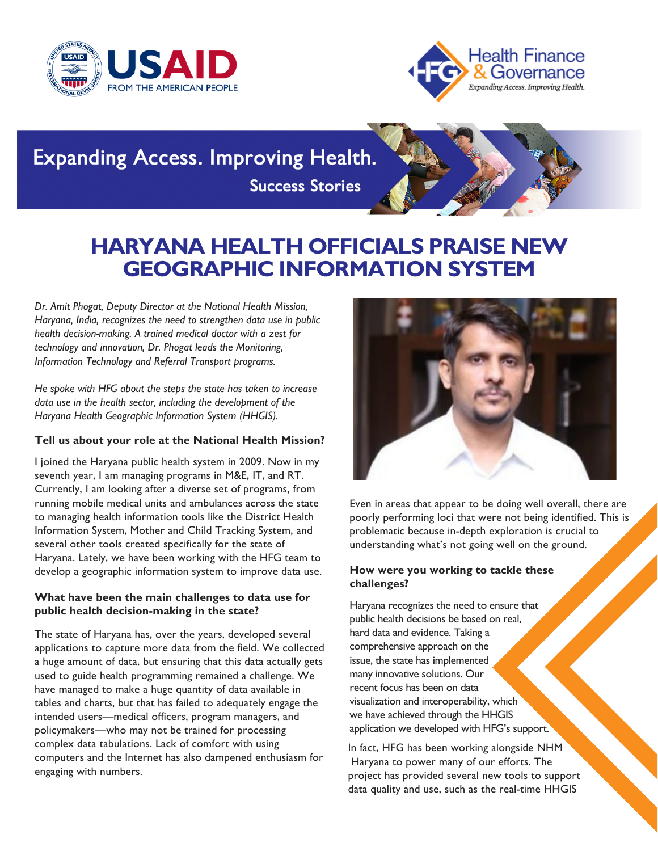



# **Expanding Access. Improving Health. Success Stories**

# **HARYANA HEALTH OFFICIALS PRAISE NEW GEOGRAPHIC INFORMATION SYSTEM**

*Dr. Amit Phogat, Deputy Director at the National Health Mission, Haryana, India, recognizes the need to strengthen data use in public health decision-making. A trained medical doctor with a zest for technology and innovation, Dr. Phogat leads the Monitoring, Information Technology and Referral Transport programs.*

*He spoke with HFG about the steps the state has taken to increase data use in the health sector, including the development of the Haryana Health Geographic Information System (HHGIS).*

# **Tell us about your role at the National Health Mission?**

I joined the Haryana public health system in 2009. Now in my seventh year, I am managing programs in M&E, IT, and RT. Currently, I am looking after a diverse set of programs, from running mobile medical units and ambulances across the state to managing health information tools like the District Health Information System, Mother and Child Tracking System, and several other tools created specifically for the state of Haryana. Lately, we have been working with the HFG team to develop a geographic information system to improve data use.

# **What have been the main challenges to data use for public health decision-making in the state?**

The state of Haryana has, over the years, developed several applications to capture more data from the field. We collected a huge amount of data, but ensuring that this data actually gets used to guide health programming remained a challenge. We have managed to make a huge quantity of data available in tables and charts, but that has failed to adequately engage the intended users—medical officers, program managers, and policymakers—who may not be trained for processing complex data tabulations. Lack of comfort with using computers and the Internet has also dampened enthusiasm for engaging with numbers.



Even in areas that appear to be doing well overall, there are poorly performing loci that were not being identified. This is problematic because in-depth exploration is crucial to understanding what's not going well on the ground.

# **How were you working to tackle these challenges?**

Haryana recognizes the need to ensure that public health decisions be based on real, hard data and evidence. Taking a comprehensive approach on the issue, the state has implemented many innovative solutions. Our recent focus has been on data visualization and interoperability, which we have achieved through the HHGIS application we developed with HFG's support.

In fact, HFG has been working alongside NHM Haryana to power many of our efforts. The project has provided several new tools to support data quality and use, such as the real-time HHGIS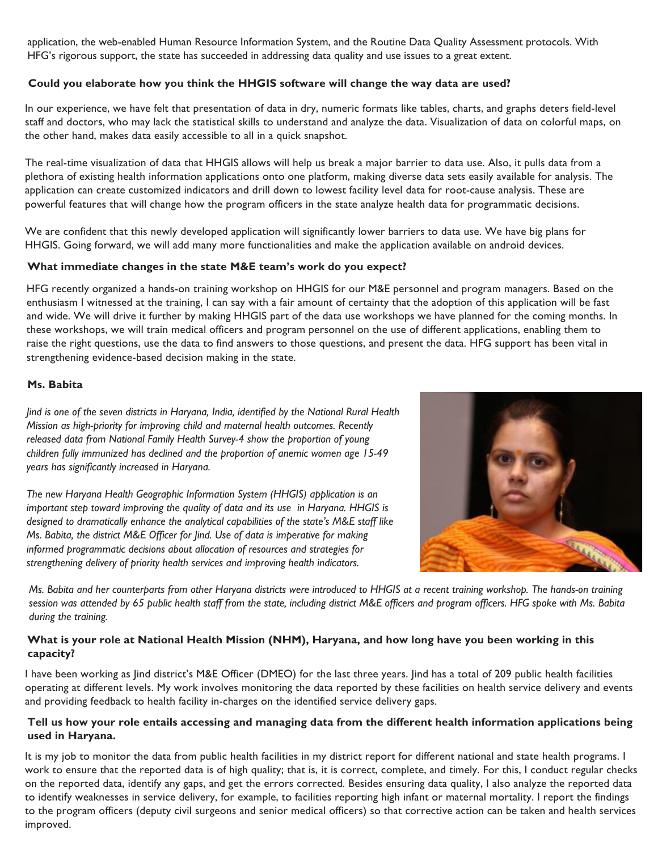application, the web-enabled Human Resource Information System, and the Routine Data Quality Assessment protocols. With HFG's rigorous support, the state has succeeded in addressing data quality and use issues to a great extent.

#### Could you elaborate how you think the HHGIS software will change the way data are used? of Health Systems, the Health Finance

In our experience, we have felt that presentation of data in dry, numeric formats like tables, charts, and graphs deters field-level supportance, we have teld an staff and doctors, who may lack the statistical skills to understand and analyze the data. Visualization of data on colorful maps, on the other hand, makes data easily accessible to all in a quick snapshot.

The real-time visualization of data that HHGIS allows will help us break a major barrier to data use. Also, it pulls data from a plethora of existing health information applications onto one platform, making diverse data sets easily available for analysis. The  $\frac{1}{201}$ application can create customized indicators and drill down to lowest facility level data for root-cause analysis. These are powerful features that will change how the program officers in the state analyze health data for programmatic decisions.

We are confident that this newly developed application will significantly lower barriers to data use. We have big plans for HHGIS. Going forward, we will add many more functionalities and make the application available on android devices.

#### at immediate changes is  $\boldsymbol{\mathsf{W}}$ hat immediate changes in the state  $\boldsymbol{\mathsf{M\&E}}$  team's work do you expect?

HFG recently organized a hands-on training workshop on HHGIS for our M&E personnel and program managers. Based on the Associates, Development and enthusiasm I witnessed at the training, I can say with a fair amount of certainty that the adoption of this application will be fast and wide. We will drive it further by making HHGIS part of the data use workshops we have planned for the coming months. In these workshops, we will train medical officers and program personnel on the use of different applications, enabling them to raise the right questions, use the data to find answers to those questions, and present the data. HFG support has been vital in strengthening evidence-based decision making in the state.

#### $A_{\rm eff}$  and  $A_{\rm eff}$  are presentative  $R_{\rm eff}$ **Ms.** Babita

Jind is one of the seven districts in Haryana, India, identified by the National Rural Health sstewart@usaid.gov *Mission as high-priority for improving child and maternal health outcomes. Recently* Jodi Charles (GH/OHS) *released data from National Family Health Survey-4 show the proportion of young* jcharles@usaid.gov *children fully immunized has declined and the proportion of anemic women age 15-49 years has significantly increased in Haryana.*

*The new Haryana Health Geographic Information System (HHGIS) application is an important step toward improving the quality of data and its use in Haryana. HHGIS is designed to dramatically enhance the analytical capabilities of the state's M&E staff like Ms. Babita, the district M&E Officer for Jind. Use of data is imperative for making informed programmatic decisions about allocation of resources and strategies for strengthening delivery of priority health services and improving health indicators.*



 $during$  *the training.* Ms. Babita and her counterparts from other Haryana districts were introduced to HHGIS at a recent training workshop. The hands-on training session was attended by 65 public health staff from the state, including district M&E officers and program officers. HFG spoke with Ms. Babita

#### atic vour role at N 4550 Montgomery Avenue, Suite 800 **What is your role at National Health Mission (NHM), Haryana, and how long have you been working in this** capacity?

I have been working as Jind district's M&E Officer (DMEO) for the last three years. Jind has a total of 209 public health facilities operating at different levels. My work involves monitoring the data reported by these facilities on health service delivery and events and providing feedback to health facility in-charges on the identified service delivery gaps.

#### DISCLAIMER Tell us how your role entails accessing and managing data from the different health information applications being do not necessarily reflect the views **used in Haryana.**

of the U.S. Agency for International It is my job to monitor the data from public health facilities in my district report for different national and state health programs. I work to ensure that the reported data is of high quality; that is, it is correct, complete, and timely. For this, I conduct regular checks on the reported data, identify any gaps, and get the errors corrected. Besides ensuring data quality, I also analyze the reported data to identify weaknesses in service delivery, for example, to facilities reporting high infant or maternal mortality. I report the findings to the program officers (deputy civil surgeons and senior medical officers) so that corrective action can be taken and health services improved.